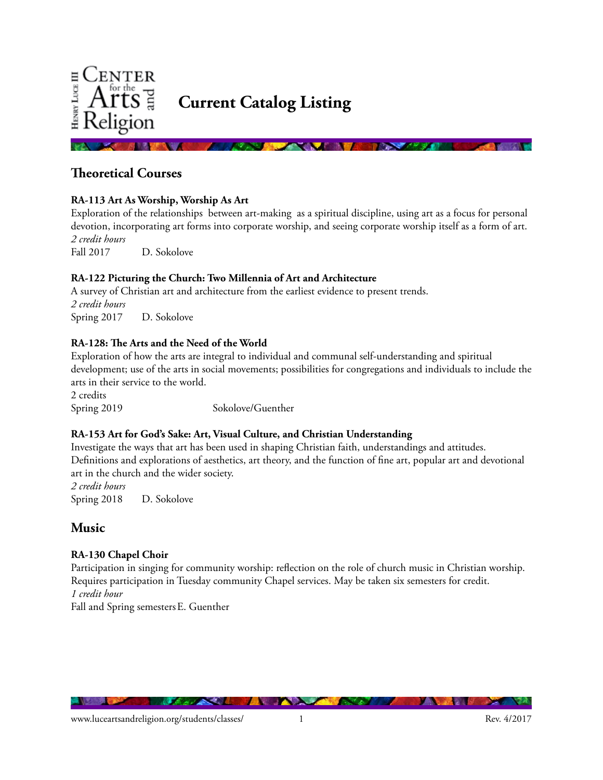

**Theoretical Courses**

#### **RA-113 Art As Worship, Worship As Art**

Exploration of the relationships between art-making as a spiritual discipline, using art as a focus for personal devotion, incorporating art forms into corporate worship, and seeing corporate worship itself as a form of art. *2 credit hours* 

Fall 2017 D. Sokolove

#### **RA-122 Picturing the Church: Two Millennia of Art and Architecture**

A survey of Christian art and architecture from the earliest evidence to present trends. *2 credit hours*  Spring 2017 D. Sokolove

#### **RA-128: The Arts and the Need of the World**

Exploration of how the arts are integral to individual and communal self-understanding and spiritual development; use of the arts in social movements; possibilities for congregations and individuals to include the arts in their service to the world.

2 credits Spring 2019 Sokolove/Guenther

#### **RA-153 Art for God's Sake: Art, Visual Culture, and Christian Understanding**

Investigate the ways that art has been used in shaping Christian faith, understandings and attitudes. Definitions and explorations of aesthetics, art theory, and the function of fine art, popular art and devotional art in the church and the wider society.

*2 credit hours*  Spring 2018 D. Sokolove

## **Music**

### **RA-130 Chapel Choir**

Participation in singing for community worship: reflection on the role of church music in Christian worship. Requires participation in Tuesday community Chapel services. May be taken six semesters for credit. *1 credit hour*

Fall and Spring semestersE. Guenther

**MARTINE I** 

**The County of the State**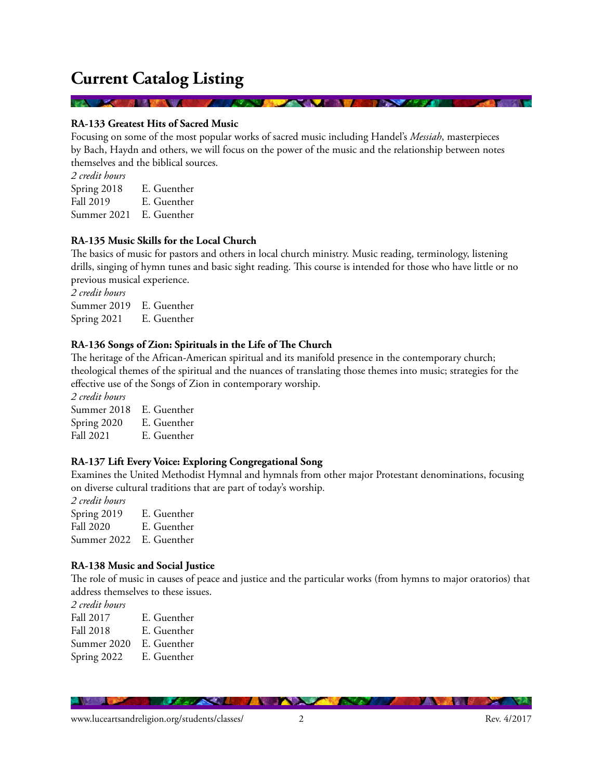**RA-133 Greatest Hits of Sacred Music** 

**START OF BUILDING** 

Focusing on some of the most popular works of sacred music including Handel's *Messiah*, masterpieces by Bach, Haydn and others, we will focus on the power of the music and the relationship between notes themselves and the biblical sources.

*<u>Program and a series of the series of the series of the series of the series of the series of the series of the series of the series of the series of the series of the series of the series of the series of the series of*</u>

*2 credit hours* Spring 2018 E. Guenther Fall 2019 E. Guenther Summer 2021 E. Guenther

#### **RA-135 Music Skills for the Local Church**

The basics of music for pastors and others in local church ministry. Music reading, terminology, listening drills, singing of hymn tunes and basic sight reading. This course is intended for those who have little or no previous musical experience.

*2 credit hours* Summer 2019 E. Guenther Spring 2021 E. Guenther

#### **RA-136 Songs of Zion: Spirituals in the Life of The Church**

The heritage of the African-American spiritual and its manifold presence in the contemporary church; theological themes of the spiritual and the nuances of translating those themes into music; strategies for the effective use of the Songs of Zion in contemporary worship.

*2 credit hours* Summer 2018 E. Guenther

Spring 2020 E. Guenther Fall 2021 E. Guenther

### **RA-137 Lift Every Voice: Exploring Congregational Song**

Examines the United Methodist Hymnal and hymnals from other major Protestant denominations, focusing on diverse cultural traditions that are part of today's worship.

*2 credit hours* Spring 2019 E. Guenther Fall 2020 E. Guenther Summer 2022 E. Guenther

#### **RA-138 Music and Social Justice**

The role of music in causes of peace and justice and the particular works (from hymns to major oratorios) that address themselves to these issues.

*2 credit hours* Fall 2017 E. Guenther Fall 2018 E. Guenther Summer 2020 E. Guenther Spring 2022 E. Guenther

**TANA DE** 

<u>in araw i</u>

**ALL** 

*Charles Committee Lines*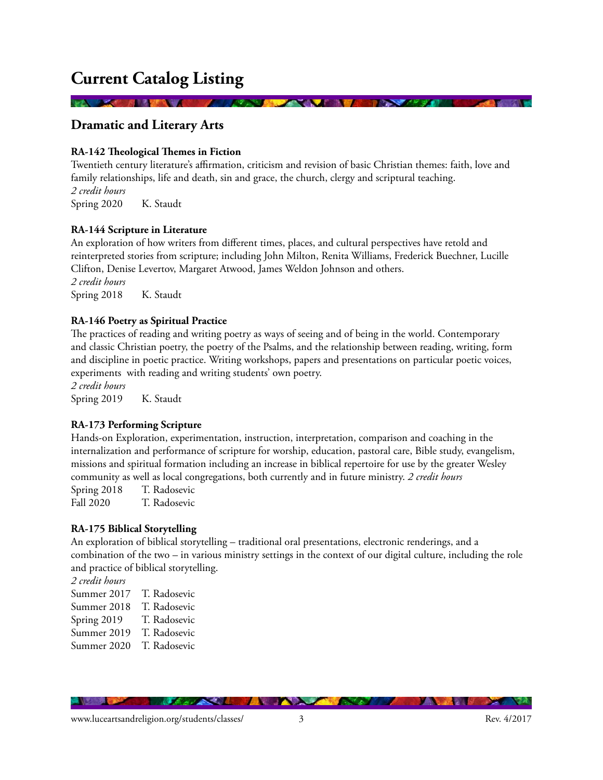**Dramatic and Literary Arts**

#### **RA-142 Theological Themes in Fiction**

Twentieth century literature's affirmation, criticism and revision of basic Christian themes: faith, love and family relationships, life and death, sin and grace, the church, clergy and scriptural teaching. *2 credit hours*  Spring 2020 K. Staudt

#### **RA-144 Scripture in Literature**

An exploration of how writers from different times, places, and cultural perspectives have retold and reinterpreted stories from scripture; including John Milton, Renita Williams, Frederick Buechner, Lucille Clifton, Denise Levertov, Margaret Atwood, James Weldon Johnson and others. *2 credit hours* Spring 2018 K. Staudt

#### **RA-146 Poetry as Spiritual Practice**

The practices of reading and writing poetry as ways of seeing and of being in the world. Contemporary and classic Christian poetry, the poetry of the Psalms, and the relationship between reading, writing, form and discipline in poetic practice. Writing workshops, papers and presentations on particular poetic voices, experiments with reading and writing students' own poetry.

*2 credit hours* Spring 2019 K. Staudt

#### **RA-173 Performing Scripture**

Hands-on Exploration, experimentation, instruction, interpretation, comparison and coaching in the internalization and performance of scripture for worship, education, pastoral care, Bible study, evangelism, missions and spiritual formation including an increase in biblical repertoire for use by the greater Wesley community as well as local congregations, both currently and in future ministry. *2 credit hours*

Spring 2018 T. Radosevic Fall 2020 T. Radosevic

#### **RA-175 Biblical Storytelling**

An exploration of biblical storytelling – traditional oral presentations, electronic renderings, and a combination of the two – in various ministry settings in the context of our digital culture, including the role and practice of biblical storytelling.

*2 credit hours*

- Summer 2017 T. Radosevic
- Summer 2018 T. Radosevic
- Spring 2019 T. Radosevic
- Summer 2019 T. Radosevic
- Summer 2020 T. Radosevic

**ALCOHOL:** 

**ANGEL**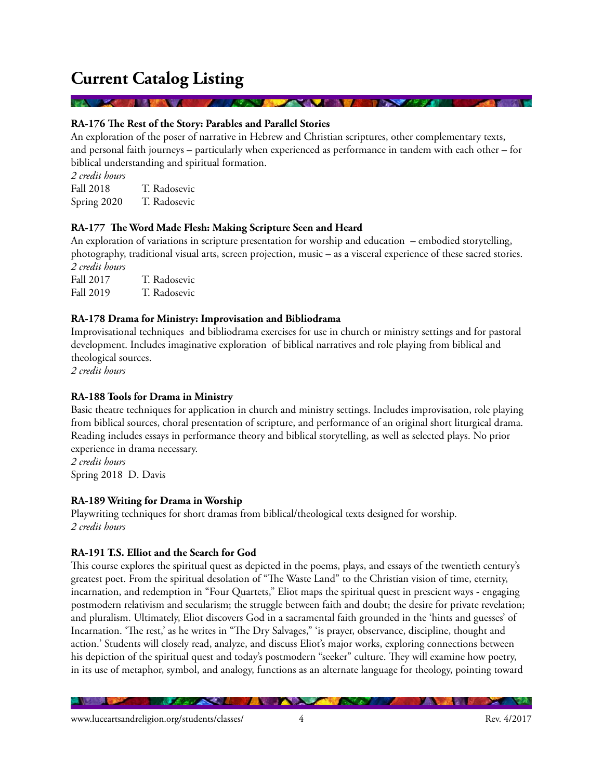#### **RA-176 The Rest of the Story: Parables and Parallel Stories**

An exploration of the poser of narrative in Hebrew and Christian scriptures, other complementary texts, and personal faith journeys – particularly when experienced as performance in tandem with each other – for biblical understanding and spiritual formation.

*2 credit hours* Fall 2018 T. Radosevic Spring 2020 T. Radosevic

#### **RA-177 The Word Made Flesh: Making Scripture Seen and Heard**

An exploration of variations in scripture presentation for worship and education – embodied storytelling, photography, traditional visual arts, screen projection, music – as a visceral experience of these sacred stories. *2 credit hours*

Fall 2017 T. Radosevic Fall 2019 T. Radosevic

#### **RA-178 Drama for Ministry: Improvisation and Bibliodrama**

Improvisational techniques and bibliodrama exercises for use in church or ministry settings and for pastoral development. Includes imaginative exploration of biblical narratives and role playing from biblical and theological sources.

*2 credit hours*

#### **RA-188 Tools for Drama in Ministry**

Basic theatre techniques for application in church and ministry settings. Includes improvisation, role playing from biblical sources, choral presentation of scripture, and performance of an original short liturgical drama. Reading includes essays in performance theory and biblical storytelling, as well as selected plays. No prior experience in drama necessary. *2 credit hours*

Spring 2018 D. Davis

#### **RA-189 Writing for Drama in Worship**

Playwriting techniques for short dramas from biblical/theological texts designed for worship. *2 credit hours* 

#### **RA-191 T.S. Elliot and the Search for God**

This course explores the spiritual quest as depicted in the poems, plays, and essays of the twentieth century's greatest poet. From the spiritual desolation of "The Waste Land" to the Christian vision of time, eternity, incarnation, and redemption in "Four Quartets," Eliot maps the spiritual quest in prescient ways - engaging postmodern relativism and secularism; the struggle between faith and doubt; the desire for private revelation; and pluralism. Ultimately, Eliot discovers God in a sacramental faith grounded in the 'hints and guesses' of Incarnation. 'The rest,' as he writes in "The Dry Salvages," 'is prayer, observance, discipline, thought and action.' Students will closely read, analyze, and discuss Eliot's major works, exploring connections between his depiction of the spiritual quest and today's postmodern "seeker" culture. They will examine how poetry, in its use of metaphor, symbol, and analogy, functions as an alternate language for theology, pointing toward

<u> Marxie Indian Roman</u>

**The Case** 

**Marie B**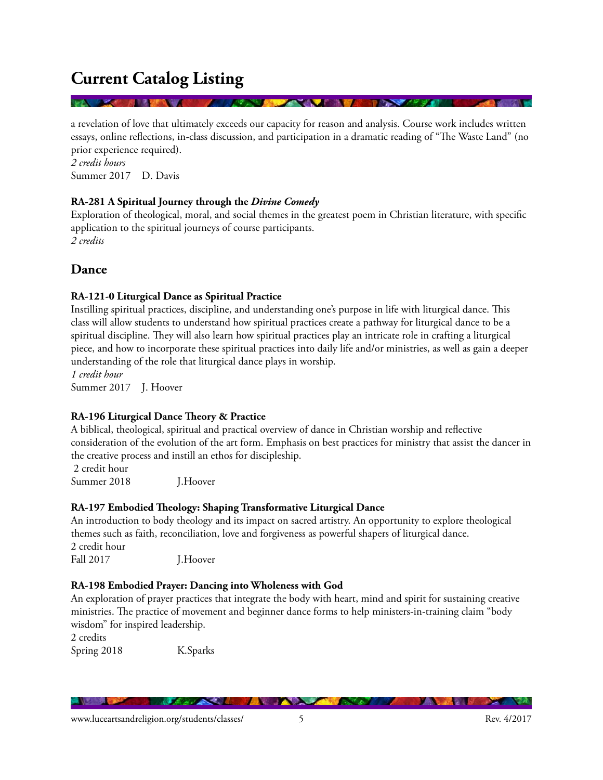a revelation of love that ultimately exceeds our capacity for reason and analysis. Course work includes written essays, online reflections, in-class discussion, and participation in a dramatic reading of "The Waste Land" (no prior experience required).

*2 credit hours*  Summer 2017 D. Davis

#### **RA-281 A Spiritual Journey through the** *Divine Comedy*

Exploration of theological, moral, and social themes in the greatest poem in Christian literature, with specific application to the spiritual journeys of course participants. *2 credits*

### **Dance**

#### **RA-121-0 Liturgical Dance as Spiritual Practice**

Instilling spiritual practices, discipline, and understanding one's purpose in life with liturgical dance. This class will allow students to understand how spiritual practices create a pathway for liturgical dance to be a spiritual discipline. They will also learn how spiritual practices play an intricate role in crafting a liturgical piece, and how to incorporate these spiritual practices into daily life and/or ministries, as well as gain a deeper understanding of the role that liturgical dance plays in worship.

*1 credit hour*

Summer 2017 J. Hoover

### **RA-196 Liturgical Dance Theory & Practice**

A biblical, theological, spiritual and practical overview of dance in Christian worship and reflective consideration of the evolution of the art form. Emphasis on best practices for ministry that assist the dancer in the creative process and instill an ethos for discipleship.

 2 credit hour Summer 2018 J.Hoover

#### **RA-197 Embodied Theology: Shaping Transformative Liturgical Dance**

An introduction to body theology and its impact on sacred artistry. An opportunity to explore theological themes such as faith, reconciliation, love and forgiveness as powerful shapers of liturgical dance. 2 credit hour Fall 2017 **J.Hoover** 

### **RA-198 Embodied Prayer: Dancing into Wholeness with God**

<u>Martin Sta</u>

An exploration of prayer practices that integrate the body with heart, mind and spirit for sustaining creative ministries. The practice of movement and beginner dance forms to help ministers-in-training claim "body wisdom" for inspired leadership.

2 credits Spring 2018 K.Sparks